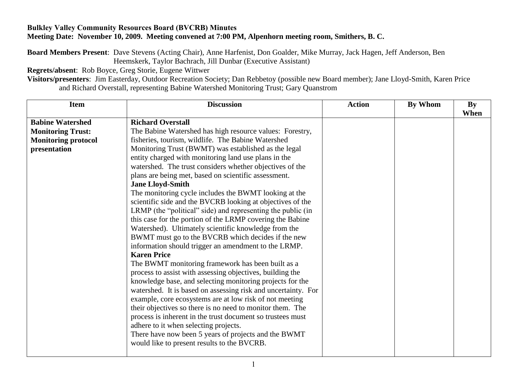## **Bulkley Valley Community Resources Board (BVCRB) Minutes Meeting Date: November 10, 2009. Meeting convened at 7:00 PM, Alpenhorn meeting room, Smithers, B. C.**

**Board Members Present**: Dave Stevens (Acting Chair), Anne Harfenist, Don Goalder, Mike Murray, Jack Hagen, Jeff Anderson, Ben Heemskerk, Taylor Bachrach, Jill Dunbar (Executive Assistant)

**Regrets/absent**: Rob Boyce, Greg Storie, Eugene Wittwer

**Visitors/presenters**: Jim Easterday, Outdoor Recreation Society; Dan Rebbetoy (possible new Board member); Jane Lloyd-Smith, Karen Price and Richard Overstall, representing Babine Watershed Monitoring Trust; Gary Quanstrom

| <b>Item</b>                | <b>Discussion</b>                                             | <b>Action</b> | By Whom | <b>By</b> |
|----------------------------|---------------------------------------------------------------|---------------|---------|-----------|
| <b>Babine Watershed</b>    | <b>Richard Overstall</b>                                      |               |         | When      |
| <b>Monitoring Trust:</b>   | The Babine Watershed has high resource values: Forestry,      |               |         |           |
| <b>Monitoring protocol</b> | fisheries, tourism, wildlife. The Babine Watershed            |               |         |           |
| presentation               | Monitoring Trust (BWMT) was established as the legal          |               |         |           |
|                            | entity charged with monitoring land use plans in the          |               |         |           |
|                            | watershed. The trust considers whether objectives of the      |               |         |           |
|                            | plans are being met, based on scientific assessment.          |               |         |           |
|                            | <b>Jane Lloyd-Smith</b>                                       |               |         |           |
|                            | The monitoring cycle includes the BWMT looking at the         |               |         |           |
|                            | scientific side and the BVCRB looking at objectives of the    |               |         |           |
|                            | LRMP (the "political" side) and representing the public (in   |               |         |           |
|                            | this case for the portion of the LRMP covering the Babine     |               |         |           |
|                            | Watershed). Ultimately scientific knowledge from the          |               |         |           |
|                            | BWMT must go to the BVCRB which decides if the new            |               |         |           |
|                            | information should trigger an amendment to the LRMP.          |               |         |           |
|                            | <b>Karen Price</b>                                            |               |         |           |
|                            | The BWMT monitoring framework has been built as a             |               |         |           |
|                            | process to assist with assessing objectives, building the     |               |         |           |
|                            | knowledge base, and selecting monitoring projects for the     |               |         |           |
|                            | watershed. It is based on assessing risk and uncertainty. For |               |         |           |
|                            | example, core ecosystems are at low risk of not meeting       |               |         |           |
|                            | their objectives so there is no need to monitor them. The     |               |         |           |
|                            | process is inherent in the trust document so trustees must    |               |         |           |
|                            | adhere to it when selecting projects.                         |               |         |           |
|                            | There have now been 5 years of projects and the BWMT          |               |         |           |
|                            | would like to present results to the BVCRB.                   |               |         |           |
|                            |                                                               |               |         |           |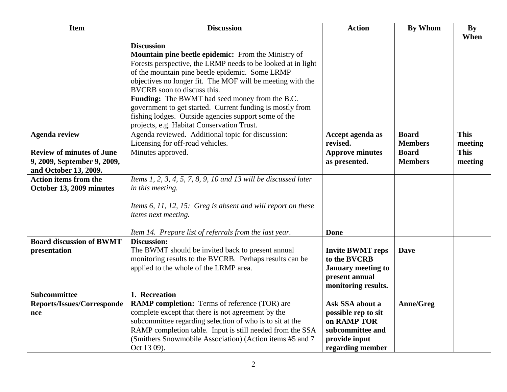| <b>Item</b>                                                                              | <b>Discussion</b>                                                                                                                                                                                                                                                                                                                                                                                              | <b>Action</b>                                                                                                  | <b>By Whom</b>                 | <b>By</b><br>When      |
|------------------------------------------------------------------------------------------|----------------------------------------------------------------------------------------------------------------------------------------------------------------------------------------------------------------------------------------------------------------------------------------------------------------------------------------------------------------------------------------------------------------|----------------------------------------------------------------------------------------------------------------|--------------------------------|------------------------|
|                                                                                          | <b>Discussion</b><br><b>Mountain pine beetle epidemic:</b> From the Ministry of<br>Forests perspective, the LRMP needs to be looked at in light<br>of the mountain pine beetle epidemic. Some LRMP<br>objectives no longer fit. The MOF will be meeting with the<br>BVCRB soon to discuss this.<br>Funding: The BWMT had seed money from the B.C.<br>government to get started. Current funding is mostly from |                                                                                                                |                                |                        |
|                                                                                          | fishing lodges. Outside agencies support some of the<br>projects, e.g. Habitat Conservation Trust.                                                                                                                                                                                                                                                                                                             |                                                                                                                |                                |                        |
| <b>Agenda review</b>                                                                     | Agenda reviewed. Additional topic for discussion:<br>Licensing for off-road vehicles.                                                                                                                                                                                                                                                                                                                          | Accept agenda as<br>revised.                                                                                   | <b>Board</b><br><b>Members</b> | <b>This</b><br>meeting |
| <b>Review of minutes of June</b><br>9, 2009, September 9, 2009,<br>and October 13, 2009. | Minutes approved.                                                                                                                                                                                                                                                                                                                                                                                              | <b>Approve minutes</b><br>as presented.                                                                        | <b>Board</b><br><b>Members</b> | <b>This</b><br>meeting |
| <b>Action items from the</b><br>October 13, 2009 minutes                                 | Items 1, 2, 3, 4, 5, 7, 8, 9, 10 and 13 will be discussed later<br>in this meeting.                                                                                                                                                                                                                                                                                                                            |                                                                                                                |                                |                        |
|                                                                                          | Items 6, 11, 12, 15: Greg is absent and will report on these<br>items next meeting.                                                                                                                                                                                                                                                                                                                            |                                                                                                                |                                |                        |
|                                                                                          | Item 14. Prepare list of referrals from the last year.                                                                                                                                                                                                                                                                                                                                                         | <b>Done</b>                                                                                                    |                                |                        |
| <b>Board discussion of BWMT</b><br>presentation                                          | <b>Discussion:</b><br>The BWMT should be invited back to present annual<br>monitoring results to the BVCRB. Perhaps results can be<br>applied to the whole of the LRMP area.                                                                                                                                                                                                                                   | <b>Invite BWMT reps</b><br>to the BVCRB<br><b>January meeting to</b><br>present annual<br>monitoring results.  | <b>Dave</b>                    |                        |
| Subcommittee<br>Reports/Issues/Corresponde<br>nce                                        | 1. Recreation<br><b>RAMP completion:</b> Terms of reference (TOR) are<br>complete except that there is not agreement by the<br>subcommittee regarding selection of who is to sit at the<br>RAMP completion table. Input is still needed from the SSA<br>(Smithers Snowmobile Association) (Action items #5 and 7<br>Oct 13 09).                                                                                | Ask SSA about a<br>possible rep to sit<br>on RAMP TOR<br>subcommittee and<br>provide input<br>regarding member | Anne/Greg                      |                        |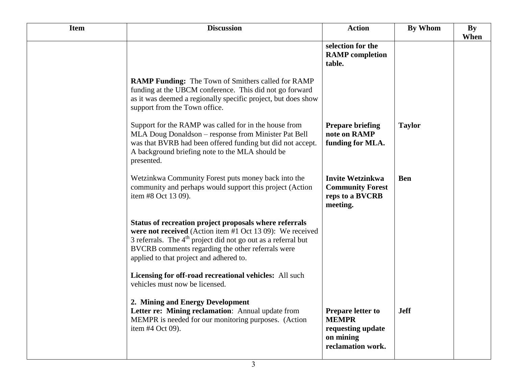| <b>Item</b> | <b>Discussion</b>                                                                                                                                                                                                                                                                      | <b>Action</b>                                                                                   | <b>By Whom</b> | By   |
|-------------|----------------------------------------------------------------------------------------------------------------------------------------------------------------------------------------------------------------------------------------------------------------------------------------|-------------------------------------------------------------------------------------------------|----------------|------|
|             |                                                                                                                                                                                                                                                                                        | selection for the<br><b>RAMP</b> completion<br>table.                                           |                | When |
|             | <b>RAMP Funding:</b> The Town of Smithers called for RAMP<br>funding at the UBCM conference. This did not go forward<br>as it was deemed a regionally specific project, but does show<br>support from the Town office.                                                                 |                                                                                                 |                |      |
|             | Support for the RAMP was called for in the house from<br>MLA Doug Donaldson - response from Minister Pat Bell<br>was that BVRB had been offered funding but did not accept.<br>A background briefing note to the MLA should be<br>presented.                                           | <b>Prepare briefing</b><br>note on RAMP<br>funding for MLA.                                     | <b>Taylor</b>  |      |
|             | Wetzinkwa Community Forest puts money back into the<br>community and perhaps would support this project (Action<br>item #8 Oct 13 09).                                                                                                                                                 | <b>Invite Wetzinkwa</b><br><b>Community Forest</b><br>reps to a BVCRB<br>meeting.               | <b>Ben</b>     |      |
|             | Status of recreation project proposals where referrals<br>were not received (Action item #1 Oct 13 09): We received<br>3 referrals. The $4th$ project did not go out as a referral but<br>BVCRB comments regarding the other referrals were<br>applied to that project and adhered to. |                                                                                                 |                |      |
|             | Licensing for off-road recreational vehicles: All such<br>vehicles must now be licensed.                                                                                                                                                                                               |                                                                                                 |                |      |
|             | 2. Mining and Energy Development<br>Letter re: Mining reclamation: Annual update from<br>MEMPR is needed for our monitoring purposes. (Action<br>item #4 Oct 09).                                                                                                                      | <b>Prepare letter to</b><br><b>MEMPR</b><br>requesting update<br>on mining<br>reclamation work. | <b>Jeff</b>    |      |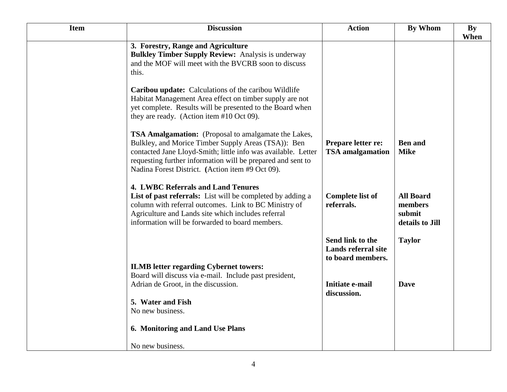| <b>Item</b> | <b>Discussion</b>                                                                                                                                                                                                                                                                                                                                                                                                                                                                                                                                                             | <b>Action</b>                                                                                         | <b>By Whom</b>                                                         | <b>By</b> |
|-------------|-------------------------------------------------------------------------------------------------------------------------------------------------------------------------------------------------------------------------------------------------------------------------------------------------------------------------------------------------------------------------------------------------------------------------------------------------------------------------------------------------------------------------------------------------------------------------------|-------------------------------------------------------------------------------------------------------|------------------------------------------------------------------------|-----------|
|             | 3. Forestry, Range and Agriculture<br><b>Bulkley Timber Supply Review:</b> Analysis is underway<br>and the MOF will meet with the BVCRB soon to discuss<br>this.<br><b>Caribou update:</b> Calculations of the caribou Wildlife<br>Habitat Management Area effect on timber supply are not<br>yet complete. Results will be presented to the Board when                                                                                                                                                                                                                       |                                                                                                       |                                                                        | When      |
|             | they are ready. (Action item #10 Oct 09).<br><b>TSA Amalgamation:</b> (Proposal to amalgamate the Lakes,<br>Bulkley, and Morice Timber Supply Areas (TSA)): Ben<br>contacted Jane Lloyd-Smith; little info was available. Letter<br>requesting further information will be prepared and sent to<br>Nadina Forest District. (Action item #9 Oct 09).<br><b>4. LWBC Referrals and Land Tenures</b><br>List of past referrals: List will be completed by adding a<br>column with referral outcomes. Link to BC Ministry of<br>Agriculture and Lands site which includes referral | Prepare letter re:<br><b>TSA</b> amalgamation<br><b>Complete list of</b><br>referrals.                | <b>Ben</b> and<br><b>Mike</b><br><b>All Board</b><br>members<br>submit |           |
|             | information will be forwarded to board members.<br><b>ILMB</b> letter regarding Cybernet towers:<br>Board will discuss via e-mail. Include past president,<br>Adrian de Groot, in the discussion.<br>5. Water and Fish<br>No new business.<br>6. Monitoring and Land Use Plans                                                                                                                                                                                                                                                                                                | Send link to the<br><b>Lands referral site</b><br>to board members.<br>Initiate e-mail<br>discussion. | details to Jill<br><b>Taylor</b><br><b>Dave</b>                        |           |
|             | No new business.                                                                                                                                                                                                                                                                                                                                                                                                                                                                                                                                                              |                                                                                                       |                                                                        |           |